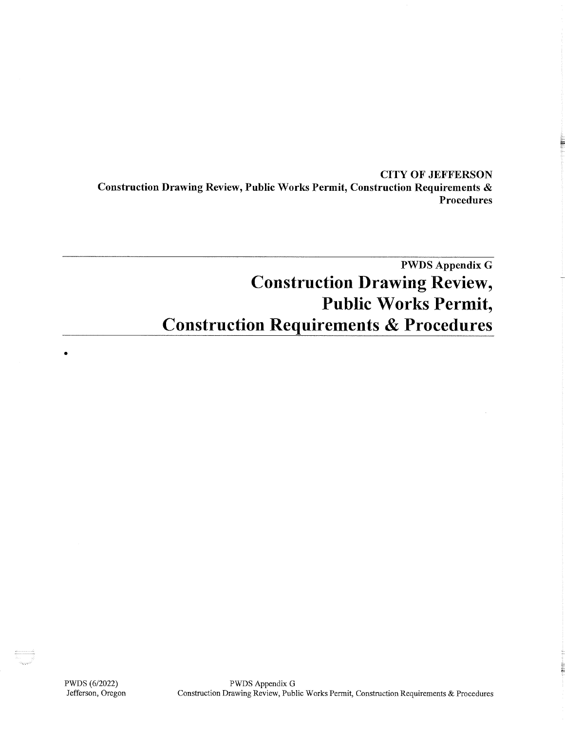CITY OF JEFFERSON Construction Drawing Review, Public Works Permit, Construction Requirements & Procedures

> PWDS Appendix G Construction Drawing Review, Public Works Permit, Construction Requirements & Procedures

•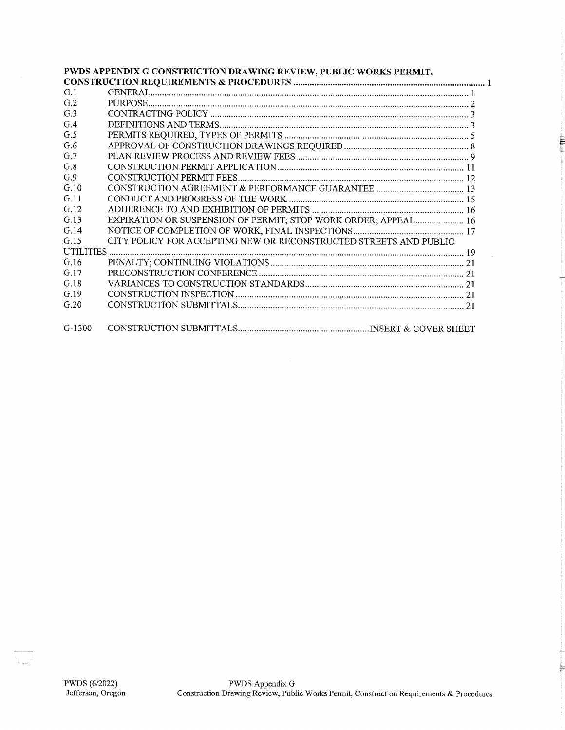|          | PWDS APPENDIX G CONSTRUCTION DRAWING REVIEW, PUBLIC WORKS PERMIT, |  |
|----------|-------------------------------------------------------------------|--|
|          |                                                                   |  |
| G.1      |                                                                   |  |
| G.2      |                                                                   |  |
| G.3      |                                                                   |  |
| G.4      |                                                                   |  |
| G.5      |                                                                   |  |
| G.6      |                                                                   |  |
| G.7      |                                                                   |  |
| G.8      |                                                                   |  |
| G.9      |                                                                   |  |
| G.10     |                                                                   |  |
| G.11     |                                                                   |  |
| G.12     |                                                                   |  |
| G.13     | EXPIRATION OR SUSPENSION OF PERMIT; STOP WORK ORDER; APPEAL 16    |  |
| G.14     |                                                                   |  |
| G.15     | CITY POLICY FOR ACCEPTING NEW OR RECONSTRUCTED STREETS AND PUBLIC |  |
|          |                                                                   |  |
| G.16     |                                                                   |  |
| G.17     |                                                                   |  |
| G.18     |                                                                   |  |
| G.19     |                                                                   |  |
| G.20     |                                                                   |  |
| $G-1300$ |                                                                   |  |

E

Ĵ.

ŧ **EXECUTE**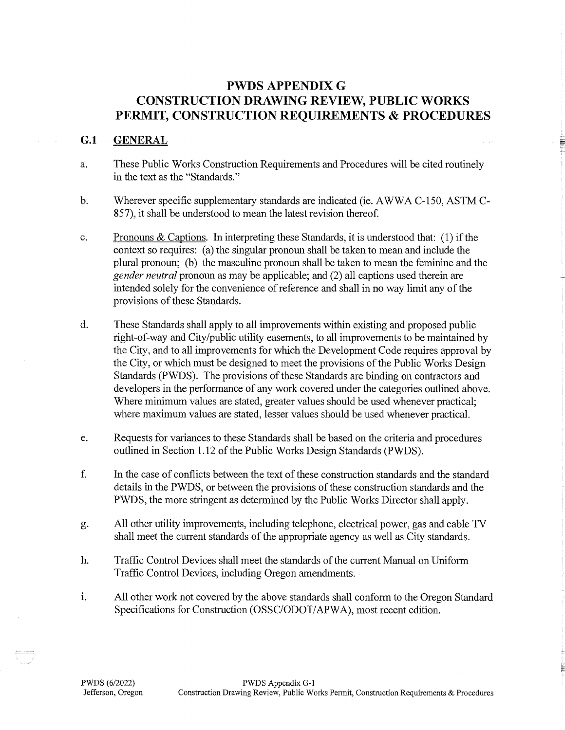# **PWDS APPENDIX G CONSTRUCTION DRAWING REVIEW, PUBLIC WORKS PERMIT, CONSTRUCTION REQUIREMENTS & PROCEDURES**

툳

### **G.1 GENERAL**

- a. These Public Works Construction Requirements and Procedures will be cited routinely in the text as the "Standards."
- b. Wherever specific supplementary standards are indicated (ie. AWWA C-150, ASTM C-857), it shall be understood to mean the latest revision thereof.
- c. Pronouns & Captions. In interpreting these Standards, it is understood that: (1) ifthe context so requires: (a) the singular pronoun shall be taken to mean and include the plural pronoun; (b) the masculine pronoun shall be taken to mean the feminine and the *gender neutral* pronoun as may be applicable; and (2) all captions used therein are intended solely for the convenience of reference and shall in no way limit any of the provisions of these Standards.
- d. These Standards shall apply to all improvements within existing and proposed public right-of-way and City/public utility easements, to all improvements to be maintained by the City, and to all improvements for which the Development Code requires approval by the City, or which must be designed to meet the provisions of the Public Works Design Standards (PWDS). The provisions of these Standards are binding on contractors and developers in the performance of any work covered under the categories outlined above. Where minimum values are stated, greater values should be used whenever practical; where maximum values are stated, lesser values should be used whenever practical.
- e. Requests for variances to these Standards shall be based on the criteria and procedures outlined in Section 1.12 of the Public Works Design Standards (PWDS).
- f. In the case of conflicts between the text of these construction standards and the standard details in the PWDS, or between the provisions of these construction standards and the PWDS, the more stringent as determined by the Public Works Director shall apply.
- g. All other utility improvements, including telephone, electrical power, gas and cable TV shall meet the current standards of the appropriate agency as well as City standards.
- h. Traffic Control Devices shall meet the standards of the current Manual on Uniform Traffic Control Devices, including Oregon amendments. ·
- i. All other work not covered by the above standards shall conform to the Oregon Standard Specifications for Construction (OSSC/ODOT/APWA), most recent edition.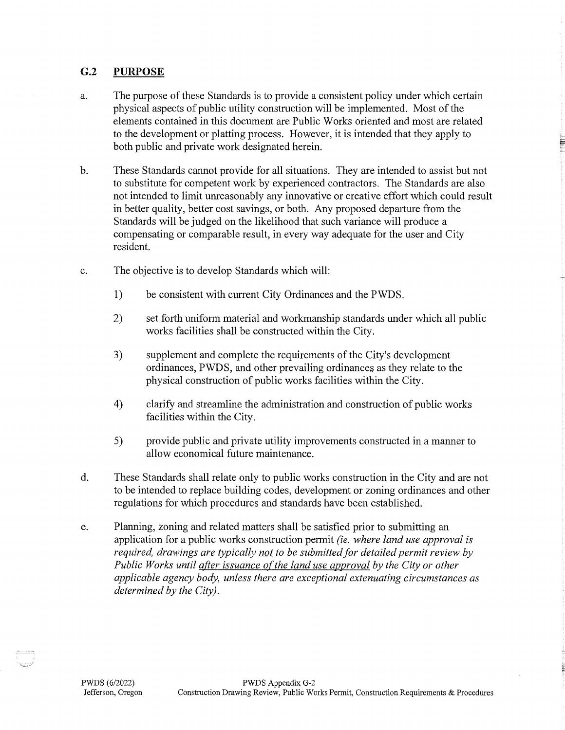## G.2 **PURPOSE**

- a. The purpose of these Standards is to provide a consistent policy under which certain physical aspects of public utility construction will be implemented. Most of the elements contained in this document are Public Works oriented and most are related to the development or platting process. However, it is intended that they apply to both public and private work designated herein.
- b. These Standards cannot provide for all situations. They are intended to assist but not to substitute for competent work by experienced contractors. The Standards are also not intended to limit unreasonably any innovative or creative effort which could result in better quality, better cost savings, or both. Any proposed departure from the Standards will be judged on the likelihood that such variance will produce a compensating or comparable result, in every way adequate for the user and City resident.
- c. The objective is to develop Standards which will:
	- 1) be consistent with current City Ordinances and the PWDS.
	- 2) set forth uniform material and workmanship standards under which all public works facilities shall be constructed within the City.
	- 3) supplement and complete the requirements of the City's development ordinances, PWDS, and other prevailing ordinances as they relate to the physical construction of public works facilities within the City.
	- 4) clarify and streamline the administration and construction of public works facilities within the City.
	- 5) provide public and private utility improvements constructed in a manner to allow economical future maintenance.
- d. These Standards shall relate only to public works construction in the City and are not to be intended to replace building codes, development or zoning ordinances and other regulations for which procedures and standards have been established.
- e. Planning, zoning and related matters shall be satisfied prior to submitting an application for a public works construction permit *(ie. where land use approval is required, drawings are typically not to be submitted for detailed permit review by Public Works until after issuance of the land use approval by the City or other applicable agency body, unless there are exceptional extenuating circumstances as determined by the City).*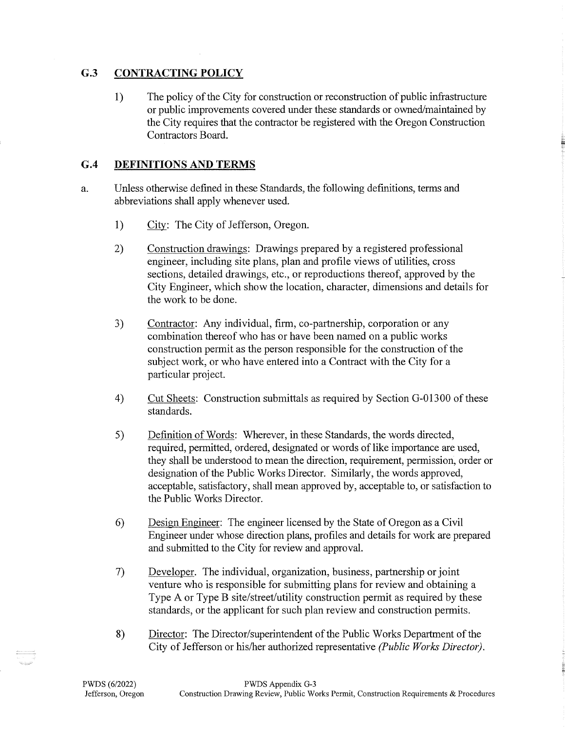## **G.3 CONTRACTING POLICY**

1) The policy of the City for construction or reconstruction of public infrastructure or public improvements covered under these standards or owned/maintained by the City requires that the contractor be registered with the Oregon Construction Contractors Board.

## **G.4 DEFINITIONS AND TERMS**

- a. Unless otherwise defined in these Standards, the following definitions, terms and abbreviations shall apply whenever used.
	- 1) City: The City of Jefferson, Oregon.
	- 2) Construction drawings: Drawings prepared by a registered professional engineer, including site plans, plan and profile views of utilities, cross sections, detailed drawings, etc., or reproductions thereof, approved by the City Engineer, which show the location, character, dimensions and details for the work to be done.
	- 3) Contractor: Any individual, firm, co-partnership, corporation or any combination thereof who has or have been named on a public works construction permit as the person responsible for the construction of the subject work, or who have entered into a Contract with the City for a particular project.
	- 4) Cut Sheets: Construction submittals as required by Section G-01300 of these standards.
	- 5) Definition of Words: Wherever, in these Standards, the words directed, required, permitted, ordered, designated or words of like importance are used, they shall be understood to mean the direction, requirement, permission, order or designation of the Public Works Director. Similarly, the words approved, acceptable, satisfactory, shall mean approved by, acceptable to, or satisfaction to the Public Works Director.
	- 6) Design Engineer: The engineer licensed by the State of Oregon as a Civil Engineer under whose direction plans, profiles and details for work are prepared and submitted to the City for review and approval.
	- 7) Developer. The individual, organization, business, partnership or joint venture who is responsible for submitting plans for review and obtaining a Type A or Type B site/street/utility construction permit as required by these standards, or the applicant for such plan review and construction permits.
	- 8) Director: The Director/superintendent of the Public Works Department of the City of Jefferson or his/her authorized representative *(Public Works Director).*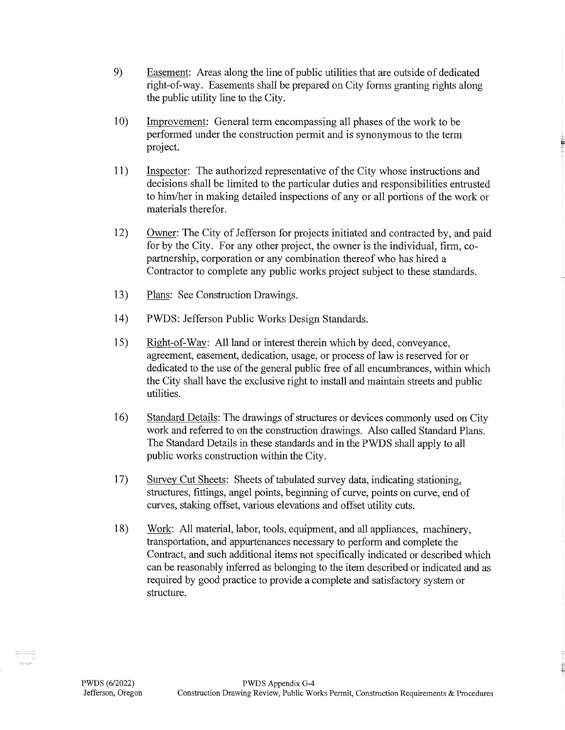- 9) Easement: Areas along the line of public utilities that are outside of dedicated right-of-way. Easements shall be prepared on City forms granting rights along the public utility line to the City.
- 10) Improvement: General term encompassing all phases of the work to be performed under the construction permit and is synonymous to the term project.
- 11) Inspector: The authorized representative of the City whose instructions and decisions shall be limited to the particular duties and responsibilities entrusted to him/her in making detailed inspections of any or all portions of the work or materials therefor.
- 12) Owner: The City of Jefferson for projects initiated and contracted by, and paid for by the City. For any other project, the owner is the individual, firm, copartnership, corporation or any combination thereof who has hired a Contractor to complete any public works project subject to these standards.
- 13) Plans: See Construction Drawings.
- 14) PWDS: Jefferson Public Works Design Standards.
- 15) Right-of-Way: All land or interest therein which by deed, conveyance, agreement, easement, dedication, usage, or process of law is reserved for or dedicated to the use of the general public free of all encumbrances, within which the City shall have the exclusive right to install and maintain streets and public utilities.
- 16) Standard Details: The drawings of structures or devices commonly used on City work and referred to on the construction drawings. Also called Standard Plans. The Standard Details in these standards and in the PWDS shall apply to all public works construction within the City.
- 17) Survey Cut Sheets: Sheets of tabulated survey data, indicating stationing, structures, fittings, angel points, beginning of curve, points on curve, end of curves, staking offset, various elevations and offset utility cuts.
- 18) Work: All material, labor, tools, equipment, and all appliances, machinery, transportation, and appurtenances necessary to perform and complete the Contract, and such additional items not specifically indicated or described which can be reasonably inferred as belonging to the item described or indicated and as required by good practice to provide a complete and satisfactory system or structure.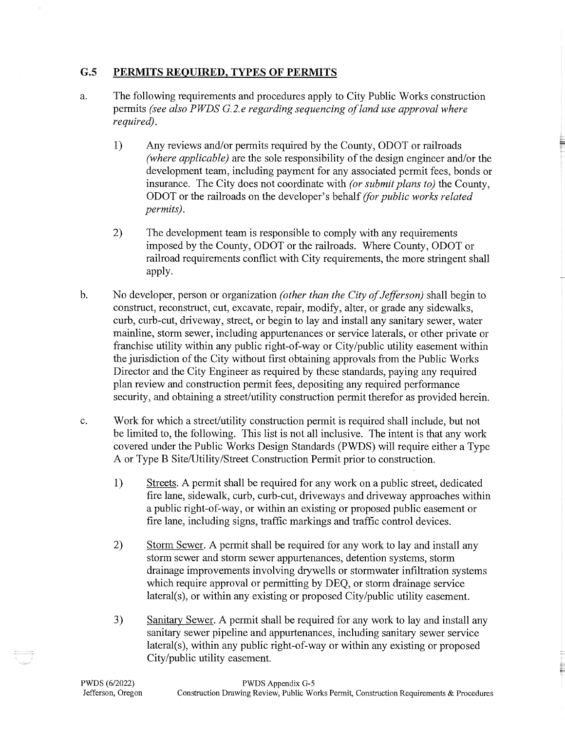## G.5 **PERMITS REQUIRED, TYPES OF PERMITS**

- a. The following requirements and procedures apply to City Public Works construction permits *(see also PWDS G.2.e regarding sequencing of land use approval where required).* 
	- 1) Any reviews and/or permits required by the County, ODOT or railroads *(where applicable)* are the sole responsibility of the design engineer and/or the development team, including payment for any associated permit fees, bonds or insurance. The City does not coordinate with *(or submit plans to)* the County, ODOT or the railroads on the developer's behalf *(for public works related permits).*
	- 2) The development team is responsible to comply with any requirements imposed by the County, ODOT or the railroads. Where County, ODOT or railroad requirements conflict with City requirements, the more stringent shall apply.
- b. No developer, person or organization *(other than the City of Jefferson)* shall begin to construct, reconstruct, cut, excavate, repair, modify, alter, or grade any sidewalks, curb, curb-cut, driveway, street, or begin to lay and install any sanitary sewer, water mainline, storm sewer, including appurtenances or service laterals, or other private or franchise utility within any public right-of-way or City/public utility easement within the jurisdiction of the City without first obtaining approvals from the Public Works Director and the City Engineer as required by these standards, paying any required plan review and construction permit fees, depositing any required performance security, and obtaining a street/utility construction permit therefor as provided herein.
- c. Work for which a street/utility construction permit is required shall include, but not be limited to, the following. This list is not all inclusive. The intent is that any work covered under the Public Works Design Standards (PWDS) will require either a Type A or Type B Site/Utility/Street Construction Permit prior to construction.
	- 1) Streets. A permit shall be required for any work on a public street, dedicated fire lane, sidewalk, curb, curb-cut, driveways and driveway approaches within a public right-of-way, or within an existing or proposed public easement or fire lane, including signs, traffic markings and traffic control devices.
	- 2) Storm Sewer. A permit shall be required for any work to lay and install any storm sewer and storm sewer appurtenances, detention systems, storm drainage improvements involving drywells or stormwater infiltration systems which require approval or permitting by DEQ, or storm drainage service lateral(s), or within any existing or proposed City/public utility easement.
	- 3) Sanitary Sewer. A permit shall be required for any work to lay and install any sanitary sewer pipeline and appurtenances, including sanitary sewer service lateral(s), within any public right-of-way or within any existing or proposed City/public utility easement.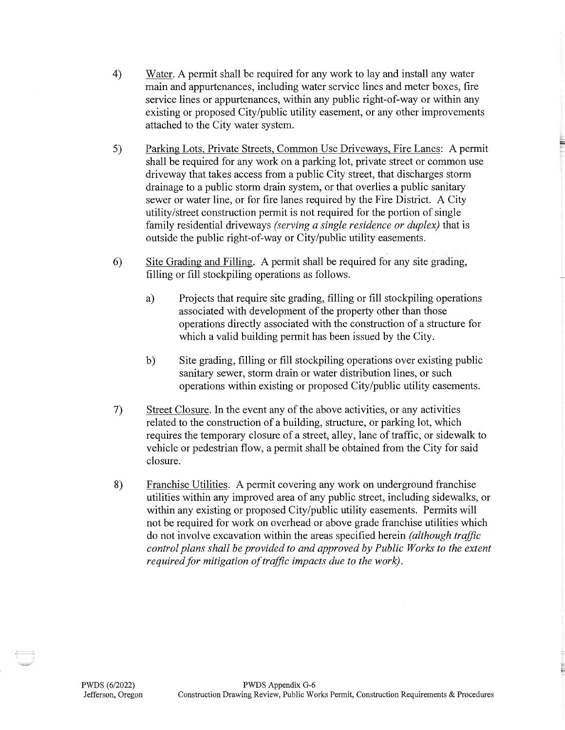- 4) Water. A permit shall be required for any work to lay and install any water main and appurtenances, including water service lines and meter boxes, fire service lines or appurtenances, within any public right-of-way or within any existing or proposed City/public utility easement, or any other improvements attached to the City water system.
- 5) Parking Lots, Private Streets, Common Use Driveways, Fire Lanes: A permit shall be required for any work on a parking lot, private street or common use driveway that takes access from a public City street, that discharges storm drainage to a public storm drain system, or that overlies a public sanitary sewer or water line, or for fire lanes required by the Fire District. A City utility/street construction permit is not required for the portion of single family residential driveways *(serving a single residence or duplex)* that is outside the public right-of-way or City/public utility easements.
- 6) Site Grading and Filling. A permit shall be required for any site grading, filling or fill stockpiling operations as follows.
	- a) Projects that require site grading, filling or fill stockpiling operations associated with development of the property other than those operations directly associated with the construction of a structure for which a valid building permit has been issued by the City.
	- b) Site grading, filling or fill stockpiling operations over existing public sanitary sewer, storm drain or water distribution lines, or such operations within existing or proposed City/public utility easements.
- 7) Street Closure. In the event any of the above activities, or any activities related to the construction of a building, structure, or parking lot, which requires the temporary closure of a street, alley, lane of traffic, or sidewalk to vehicle or pedestrian flow, a permit shall be obtained from the City for said closure.
- 8) Franchise Utilities. A permit covering any work on underground franchise utilities within any improved area of any public street, including sidewalks, or within any existing or proposed City/public utility easements. Permits will not be required for work on overhead or above grade franchise utilities which do not involve excavation within the areas specified herein *(although traffic control plans shall be provided to and approved by Public Works to the extent required for mitigation of traffic impacts due to the work).*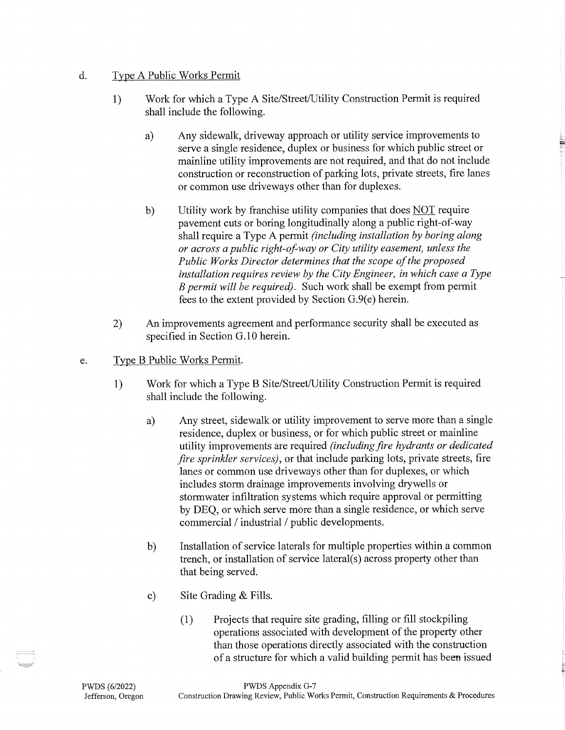### d. Type A Public Works Permit

- 1) Work for which aType A Site/Street/Utility Construction Permit is required shall include the following.
	- a) Any sidewalk, driveway approach or utility service improvements to serve a single residence, duplex or business for which public street or mainline utility improvements are not required, and that do not include construction or reconstruction of parking lots, private streets, fire lanes or common use driveways other than for duplexes.
	- b) Utility work by franchise utility companies that does NOT require pavement cuts or boring longitudinally along a public right-of-way shall require a Type A permit *(including installation by boring along or across a public right-of-way or City utility easement, unless the Public Works Director determines that the scope of the proposed installation requires review by the City Engineer, in which case a Type B permit will be required).* Such work shall be exempt from permit fees to the extent provided by Section  $G.9(e)$  herein.
- 2) An improvements agreement and performance security shall be executed as specified in Section G.10 herein.
- e. Type B Public Works Permit.
	- 1) Work for which a Type B Site/Street/Utility Construction Permit is required shall include the following.
		- a) Any street, sidewalk or utility improvement to serve more than a single residence, duplex or business, or for which public street or mainline utility improvements are required *(including fire hydrants or dedicated fire sprinkler services),* or that include parking lots, private streets, fire lanes or common use driveways other than for duplexes, or which includes storm drainage improvements involving drywells or stormwater infiltration systems which require approval or permitting by DEQ, or which serve more than a single residence, or which serve commercial / industrial / public developments.
		- b) Installation of service laterals for multiple properties within a common trench, or installation of service lateral(s) across property other than that being served.
		- c) Site Grading & Fills.
			- (1) Projects that require site grading, filling or fill stockpiling operations associated with development of the property other than those operations directly associated with the construction of a structure for which a valid building permit has been issued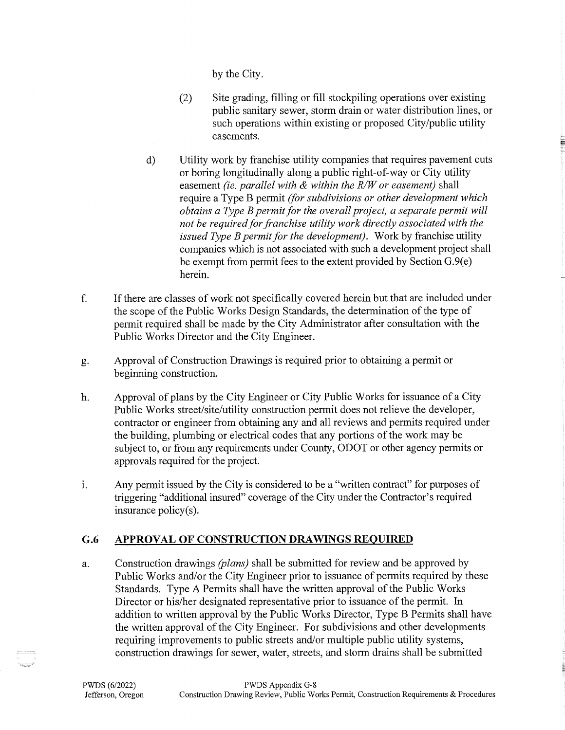by the City.

- (2) Site grading, filling or fill stockpiling operations over existing public sanitary sewer, storm drain or water distribution lines, or such operations within existing or proposed City/public utility easements.
- d) Utility work by franchise utility companies that requires pavement cuts or boring longitudinally along a public right-of-way or City utility easement *(ie. parallel with* & *within the RIW or easement)* shall require a Type B permit *(for subdivisions or other development which obtains a Type B permit for the overall project, a separate permit will not be required for franchise utility work directly associated with the issued Type B permit for the development).* Work by franchise utility companies which is not associated with such a development project shall be exempt from permit fees to the extent provided by Section G.9(e) herein.
- f. If there are classes of work not specifically covered herein but that are included under the scope of the Public Works Design Standards, the determination of the type of permit required shall be made by the City Administrator after consultation with the Public Works Director and the City Engineer.
- g. Approval of Construction Drawings is required prior to obtaining a permit or beginning construction.
- h. Approval of plans by the City Engineer or City Public Works for issuance of a City Public Works street/site/utility construction permit does not relieve the developer, contractor or engineer from obtaining any and all reviews and permits required under the building, plumbing or electrical codes that any portions of the work may be subject to, or from any requirements under County, ODOT or other agency permits or approvals required for the project.
- I. Any permit issued by the City is considered to be a "written contract" for purposes of triggering "additional insured" coverage of the City under the Contractor's required insurance policy(s).

## **G.6 APPROVAL OF CONSTRUCTION DRAWINGS REQUIRED**

a. Construction drawings *(plans)* shall be submitted for review and be approved by Public Works and/or the City Engineer prior to issuance of permits required by these Standards. Type A Permits shall have the written approval of the Public Works Director or his/her designated representative prior to issuance of the permit. In addition to written approval by the Public Works Director, Type B Permits shall have the written approval of the City Engineer. For subdivisions and other developments requiring improvements to public streets and/or multiple public utility systems, construction drawings for sewer, water, streets, and storm drains shall be submitted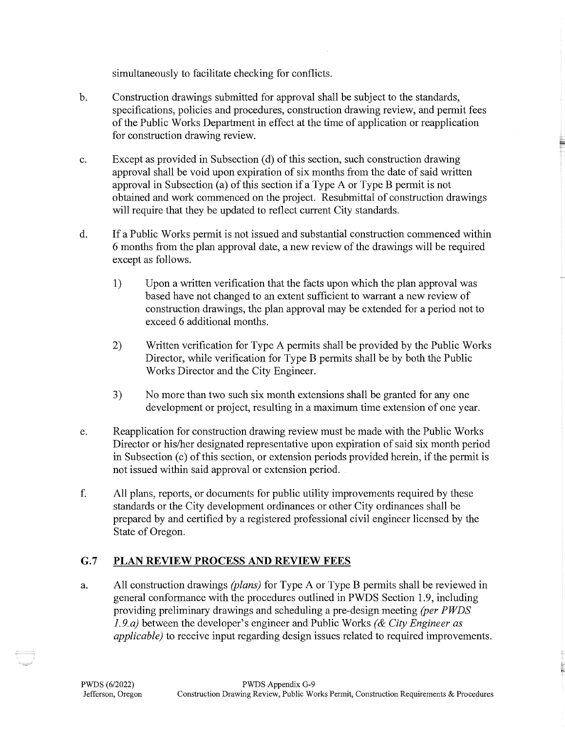simultaneously to facilitate checking for conflicts.

- b. Construction drawings submitted for approval shall be subject to the standards, specifications, policies and procedures, construction drawing review, and permit fees of the Public Works Department in effect at the time of application or reapplication for construction drawing review.
- c. Except as provided in Subsection ( d) of this section, such construction drawing approval shall be void upon expiration of six months from the date of said written approval in Subsection (a) of this section if a Type A or Type B permit is not obtained and work commenced on the project. Resubmittal of construction drawings will require that they be updated to reflect current City standards.
- d. If a Public Works permit is not issued and substantial construction commenced within 6 months from the plan approval date, a new review of the drawings will be required except as follows.
	- 1) Upon a written verification that the facts upon which the plan approval was based have not changed to an extent sufficient to warrant a new review of construction drawings, the plan approval may be extended for a period not to exceed 6 additional months.
	- 2) Written verification for Type A permits shall be provided by the Public Works Director, while verification for Type B permits shall be by both the Public Works Director and the City Engineer.
	- 3) No more than two such six month extensions shall be granted for any one development or project, resulting in a maximum time extension of one year.
- e. Reapplication for construction drawing review must be made with the Public Works Director or his/her designated representative upon expiration of said six month period in Subsection (c) of this section, or extension periods provided herein, if the permit is not issued within said approval or extension period.
- f. All plans, reports, or documents for public utility improvements required by these standards or the City development ordinances or other City ordinances shall be prepared by and certified by a registered professional civil engineer licensed by the State of Oregon.

## G.7 **PLAN REVIEW PROCESS AND REVIEW FEES**

a. All construction drawings *(plans)* for Type A or Type B permits shall be reviewed in general conformance with the procedures outlined in PWDS Section 1.9, including providing preliminary drawings and scheduling a pre-design meeting *(per PWDS 1.9.a)* between the developer's engineer and Public Works *(& City Engineer as applicable)* to receive input regarding design issues related to required improvements.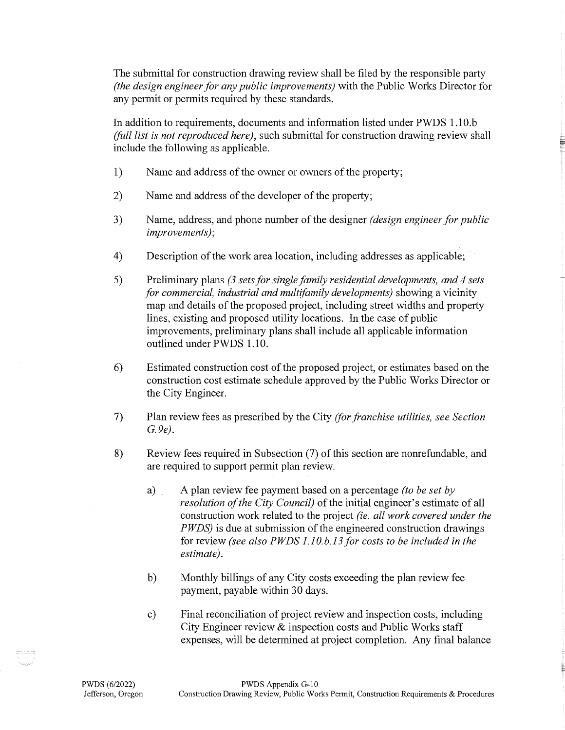The submittal for construction drawing review shall be filed by the responsible party *(the design engineer for any public improvements)* with the Public Works Director for any permit or permits required by these standards.

In addition to requirements, documents and information listed under PWDS 1.10.b *(full list is not reproduced here),* such submittal for construction drawing review shall include the following as applicable.

- 1) Name and address of the owner or owners of the property;
- 2) Name and address of the developer of the property;
- 3) Name, address, and phone number of the designer *(design engineer for public improvements);*
- 4) Description of the work area location, including addresses as applicable;
- 5) Preliminary plans *(3 sets for single family residential developments, and 4 sets for commercial, industrial and multifamily developments)* showing a vicinity map and details of the proposed project, including street widths and property lines, existing and proposed utility locations. In the case of public improvements, preliminary plans shall include all applicable information outlined under PWDS 1.10.
- 6) Estimated construction cost of the proposed project, or estimates based on the construction cost estimate schedule approved by the Public Works Director or the City Engineer.
- 7) Plan review fees as prescribed by the City *(for franchise utilities, see Section G.9e).*
- 8) Review fees required in Subsection (7) of this section are nonrefundable, and are required to support permit plan review.
	- a) A plan review fee payment based on a percentage *(to be set by resolution of the City Council)* of the initial engineer's estimate of all construction work related to the project *(ie. all work covered under the PWDS*) is due at submission of the engineered construction drawings for review *(see also PWDS 1.10.b.13 for costs to be included in the estimate).*
	- b) Monthly billings of any City costs exceeding the plan review fee payment, payable within 30 days.
	- c) Final reconciliation of project review and inspection costs, including City Engineer review & inspection costs and Public Works staff expenses, will be determined at project completion. Any final balance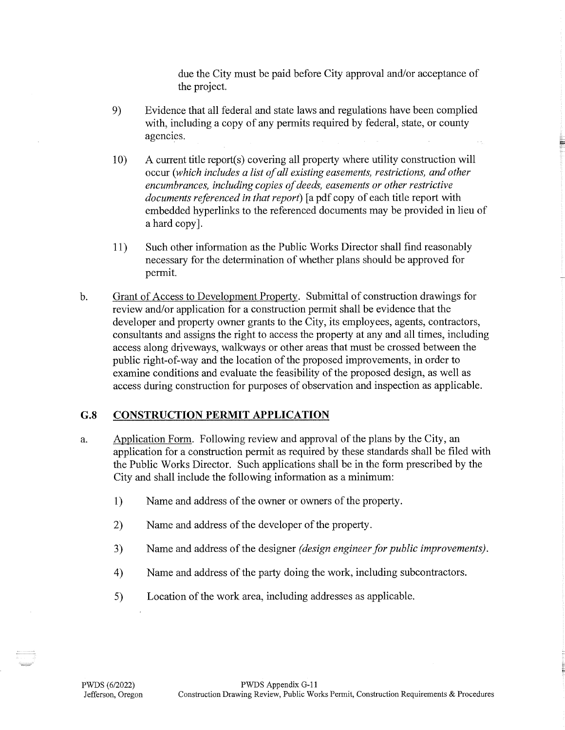due the City must be paid before City approval and/or acceptance of the project.

- 9) Evidence that all federal and state laws and regulations have been complied with, including a copy of any permits required by federal, state, or county agencies.
- 10) A current title report(s) covering all property where utility construction will occur *(which includes a list of all existing easements, restrictions, and other encumbrances, including copies of deeds, easements or other restrictive documents referenced in that report)* [a pdf copy of each title report with embedded hyperlinks to the referenced documents may be provided in lieu of a hard copy].
- 11) Such other information as the Public Works Director shall find reasonably necessary for the determination of whether plans should be approved for permit.
- b. Grant of Access to Development Property. Submittal of construction drawings for review and/or application for a construction permit shall be evidence that the developer and property owner grants to the City, its employees, agents, contractors, consultants and assigns the right to access the property at any and all times, including access along driveways, walkways or other areas that must be crossed between the public right-of-way and the location of the proposed improvements, in order to examine conditions and evaluate the feasibility of the proposed design, as well as access during construction for purposes of observation and inspection as applicable.

## **G.8 CONSTRUCTION PERMIT APPLICATION**

- a. Application Form. Following review and approval of the plans by the City, an application for a construction permit as required by these standards shall be filed with the Public Works Director. Such applications shall be in the form prescribed by the City and shall include the following information as a minimum:
	- 1) Name and address of the owner or owners of the property.
	- 2) Name and address of the developer of the property.
	- 3) Name and address of the designer *(design engineer for public improvements).*
	- 4) Name and address of the party doing the work, including subcontractors.
	- 5) Location of the work area, including addresses as applicable.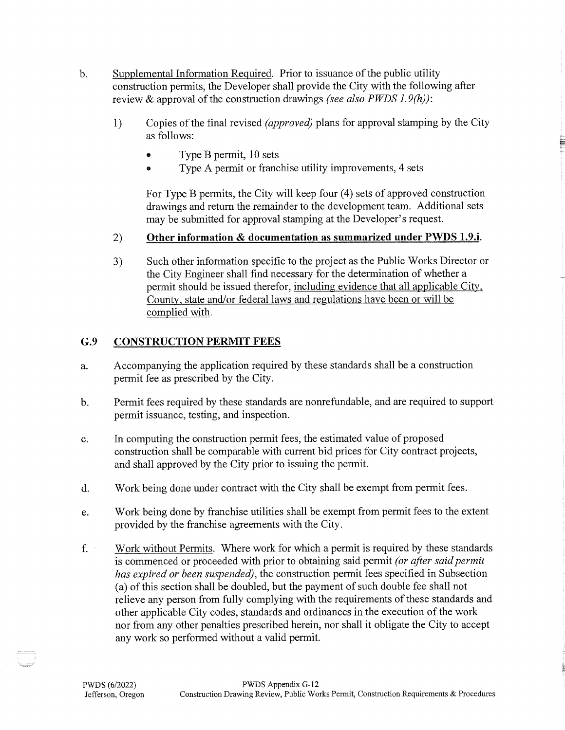- b. Supplemental Information Required. Prior to issuance of the public utility construction permits, the Developer shall provide the City with the following after review & approval of the construction drawings *(see also PWDS 1.9(h)):* 
	- 1) Copies of the final revised *(approved)* plans for approval stamping by the City as follows:
		- Type B permit, 10 sets
		- Type A permit or franchise utility improvements, 4 sets

For Type B permits, the City will keep four (4) sets of approved construction drawings and return the remainder to the development team. Additional sets may be submitted for approval stamping at the Developer's request.

- 2) **Other information & documentation as summarized under PWDS 1.9.i.**
- 3) Such other information specific to the project as the Public Works Director or the City Engineer shall find necessary for the determination of whether a permit should be issued therefor, including evidence that all applicable City, County, state and/or federal laws and regulations have been or will be complied with.

### **G.9 CONSTRUCTION PERMIT FEES**

- a. Accompanying the application required by these standards shall be a construction permit fee as prescribed by the City.
- b. Permit fees required by these standards are nonrefundable, and are required to support permit issuance, testing, and inspection.
- c. In computing the construction permit fees, the estimated value of proposed construction shall be comparable with current bid prices for City contract projects, and shall approved by the City prior to issuing the permit.
- d. Work being done under contract with the City shall be exempt from permit fees.
- e. Work being done by franchise utilities shall be exempt from permit fees to the extent provided by the franchise agreements with the City.
- f. Work without Permits. Where work for which a permit is required by these standards is commenced or proceeded with prior to obtaining said permit *(or after said permit has expired or been suspended),* the construction permit fees specified in Subsection (a) of this section shall be doubled, but the payment of such double fee shall not relieve any person from fully complying with the requirements of these standards and other applicable City codes, standards and ordinances in the execution of the work nor from any other penalties prescribed herein, nor shall it obligate the City to accept any work so performed without a valid permit.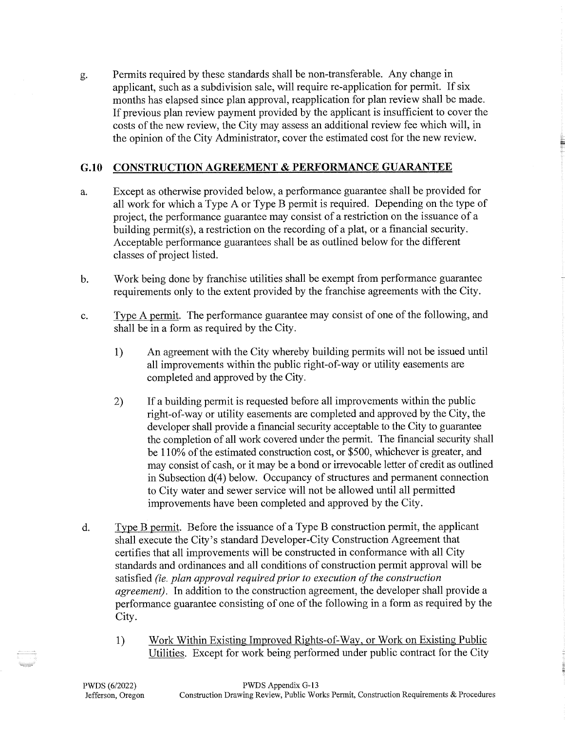g. Permits required by these standards shall be non-transferable. Any change in applicant, such as a subdivision sale, will require re-application for permit. If six months has elapsed since plan approval, reapplication for plan review shall be made. If previous plan review payment provided by the applicant is insufficient to cover the costs of the new review, the City may assess an additional review fee which will, in the opinion of the City Administrator, cover the estimated cost for the new review.

## **G.10 CONSTRUCTION AGREEMENT & PERFORMANCE GUARANTEE**

- a. Except as otherwise provided below, a performance guarantee shall be provided for all work for which a Type A or Type B permit is required. Depending on the type of project, the performance guarantee may consist of a restriction on the issuance of <sup>a</sup> building permit(s), a restriction on the recording of a plat, or a financial security. Acceptable performance guarantees shall be as outlined below for the different classes of project listed.
- b. Work being done by franchise utilities shall be exempt from performance guarantee requirements only to the extent provided by the franchise agreements with the City.
- c. Type A permit. The performance guarantee may consist of one of the following, and shall be in a form as required by the City.
	- 1) An agreement with the City whereby building permits will not be issued until all improvements within the public right-of-way or utility easements are completed and approved by the City.
	- 2) If a building permit is requested before all improvements within the public right-of-way or utility easements are completed and approved by the City, the developer shall provide a financial security acceptable to the City to guarantee the completion of all work covered under the permit. The financial security shall be 110% of the estimated construction cost, or \$500, whichever is greater, and may consist of cash, or it may be a bond or irrevocable letter of credit as outlined in Subsection d(4) below. Occupancy of structures and permanent connection to City water and sewer service will not be allowed until all permitted improvements have been completed and approved by the City.
- d. Type B permit. Before the issuance of a Type B construction permit, the applicant shall execute the City's standard Developer-City Construction Agreement that certifies that all improvements will be constructed in conformance with all City standards and ordinances and all conditions of construction permit approval will be satisfied *(ie. plan approval required prior to execution of the construction agreement).* In addition to the construction agreement, the developer shall provide a performance guarantee consisting of one of the following in a form as required by the City.
	- 1) Work Within Existing Improved Rights-of-Way, or Work on Existing Public Utilities. Except for work being performed under public contract for the City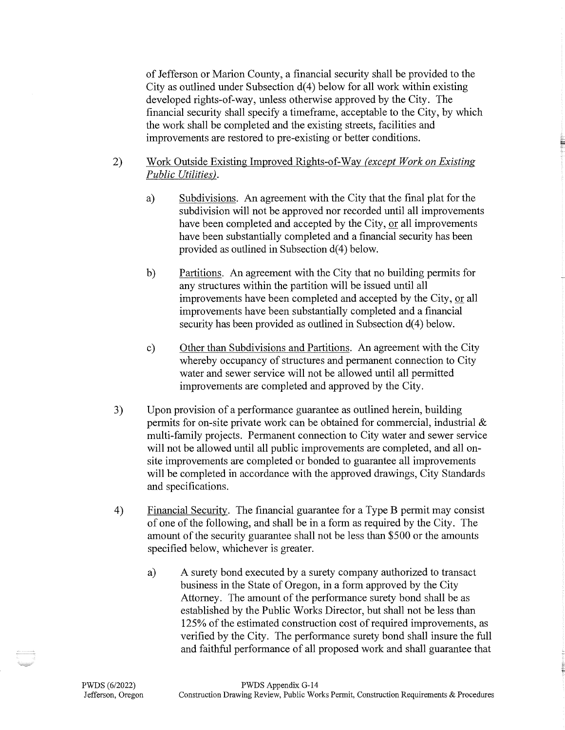of Jefferson or Marion County, a financial security shall be provided to the City as outlined under Subsection  $d(4)$  below for all work within existing developed rights-of-way, unless otherwise approved by the City. The financial security shall specify a timeframe, acceptable to the City, by which the work shall be completed and the existing streets, facilities and improvements are restored to pre-existing or better conditions.

## 2) Work Outside Existing Improved Rights-of-Way *(except Work on Existing Public Utilities).*

- a) Subdivisions. An agreement with the City that the final plat for the subdivision will not be approved nor recorded until all improvements have been completed and accepted by the City, or all improvements have been substantially completed and a financial security has been provided as outlined in Subsection d(4) below.
- b) Partitions. An agreement with the City that no building permits for any structures within the partition will be issued until all improvements have been completed and accepted by the City, or all improvements have been substantially completed and a financial security has been provided as outlined in Subsection d(4) below.
- c) Other than Subdivisions and Partitions. An agreement with the City whereby occupancy of structures and permanent connection to City water and sewer service will not be allowed until all permitted improvements are completed and approved by the City.
- 3) Upon provision of a performance guarantee as outlined herein, building permits for on-site private work can be obtained for commercial, industrial & multi-family projects. Permanent connection to City water and sewer service will not be allowed until all public improvements are completed, and all onsite improvements are completed or bonded to guarantee all improvements will be completed in accordance with the approved drawings, City Standards and specifications.
- 4) Financial Security. The financial guarantee for a Type B permit may consist of one of the following, and shall be in a form as required by the City. The amount of the security guarantee shall not be less than \$500 or the amounts specified below, whichever is greater.
	- a) A surety bond executed by a surety company authorized to transact business in the State of Oregon, in a form approved by the City Attorney. The amount of the performance surety bond shall be as established by the Public Works Director, but shall not be less than 125% of the estimated construction cost of required improvements, as verified by the City. The performance surety bond shall insure the full and faithful performance of all proposed work and shall guarantee that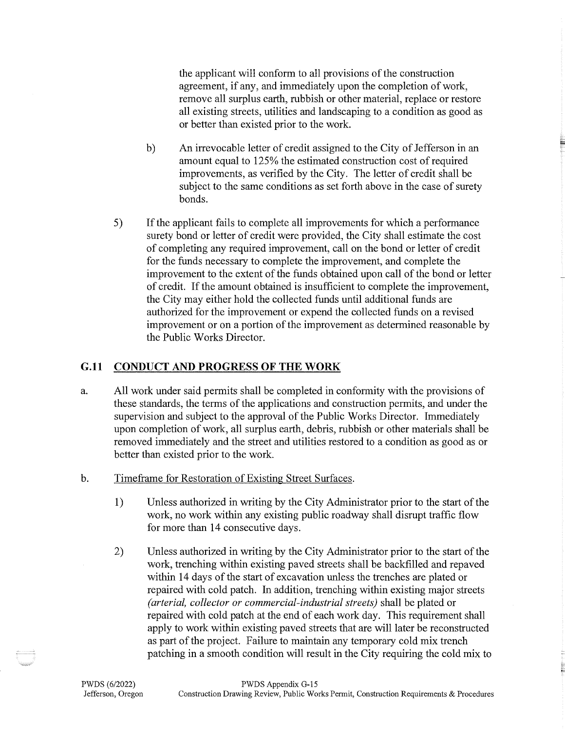the applicant will conform to all provisions of the construction agreement, if any, and immediately upon the completion of work, remove all surplus earth, rubbish or other material, replace or restore all existing streets, utilities and landscaping to a condition as good as or better than existed prior to the work.

- b) An irrevocable letter of credit assigned to the City of Jefferson in an amount equal to 125% the estimated construction cost of required improvements, as verified by the City. The letter of credit shall be subject to the same conditions as set forth above in the case of surety bonds.
- 5) If the applicant fails to complete all improvements for which a performance surety bond or letter of credit were provided, the City shall estimate the cost of completing any required improvement, call on the bond or letter of credit for the funds necessary to complete the improvement, and complete the improvement to the extent of the funds obtained upon call of the bond or letter of credit. If the amount obtained is insufficient to complete the improvement, the City may either hold the collected funds until additional funds are authorized for the improvement or expend the collected funds on a revised improvement or on a portion of the improvement as determined reasonable by the Public Works Director.

## **G.11 CONDUCT AND PROGRESS OF THE WORK**

- a. All work under said permits shall be completed in conformity with the provisions of these standards, the terms of the applications and construction permits, and under the supervision and subject to the approval of the Public Works Director. Immediately upon completion of work, all surplus earth, debris, rubbish or other materials shall be removed immediately and the street and utilities restored to a condition as good as or better than existed prior to the work.
- b. Timeframe for Restoration of Existing Street Surfaces.
	- 1) Unless authorized in writing by the City Administrator prior to the start of the work, no work within any existing public roadway shall disrupt traffic flow for more than 14 consecutive days.
	- 2) Unless authorized in writing by the City Administrator prior to the start of the work, trenching within existing paved streets shall be backfilled and repaved within 14 days of the start of excavation unless the trenches are plated or repaired with cold patch. In addition, trenching within existing major streets *(arterial, collector or commercial-industrial streets)* shall be plated or repaired with cold patch at the end of each work day. This requirement shall apply to work within existing paved streets that are will later be reconstructed as part of the project. Failure to maintain any temporary cold mix trench patching in a smooth condition will result in the City requiring the cold mix to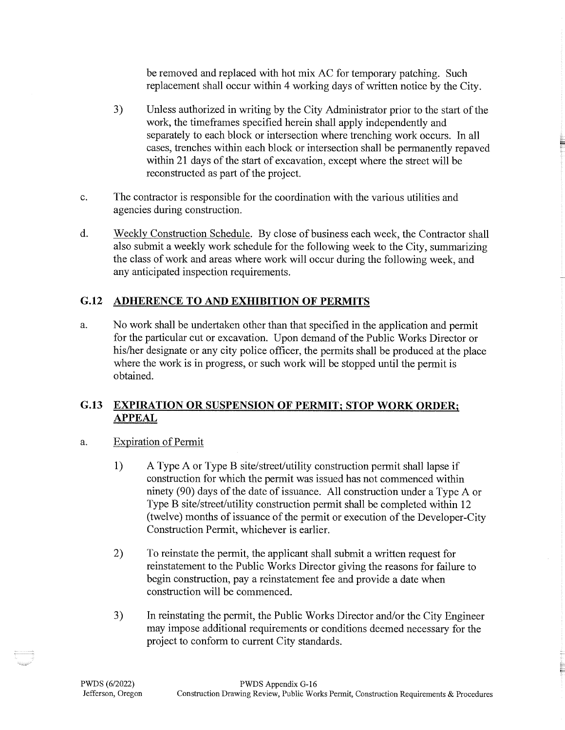be removed and replaced with hot mix AC for temporary patching. Such replacement shall occur within 4 working days of written notice by the City.

- 3) Unless authorized in writing by the City Administrator prior to the start of the work, the timeframes specified herein shall apply independently and separately to each block or intersection where trenching work occurs. In all cases, trenches within each block or intersection shall be permanently repaved within 21 days of the start of excavation, except where the street will be reconstructed as part of the project.
- c. The contractor is responsible for the coordination with the various utilities and agencies during construction.
- d. Weekly Construction Schedule. By close of business each week, the Contractor shall also submit a weekly work schedule for the following week to the City, summarizing the class of work and areas where work will occur during the following week, and any anticipated inspection requirements.

## **G.12 ADHERENCE TO AND EXHIBITION OF PERMITS**

a. No work shall be undertaken other than that specified in the application and permit for the particular cut or excavation. Upon demand of the Public Works Director or his/her designate or any city police officer, the permits shall be produced at the place where the work is in progress, or such work will be stopped until the permit is obtained.

## **G.13 EXPIRATION OR SUSPENSION OF PERMIT; STOP WORK ORDER; APPEAL**

- a. Expiration of Permit
	- 1) A Type A or Type B site/street/utility construction permit shall lapse if construction for which the permit was issued has not commenced within ninety (90) days of the date of issuance. All construction under a Type A or Type B site/street/utility construction permit shall be completed within 12 (twelve) months of issuance of the permit or execution of the Developer-City Construction Permit, whichever is earlier.
	- 2) To reinstate the permit, the applicant shall submit a written request for reinstatement to the Public Works Director giving the reasons for failure to begin construction, pay a reinstatement fee and provide a date when construction will be commenced.
	- 3) In reinstating the permit, the Public Works Director and/or the City Engineer may impose additional requirements or conditions deemed necessary for the project to conform to current City standards.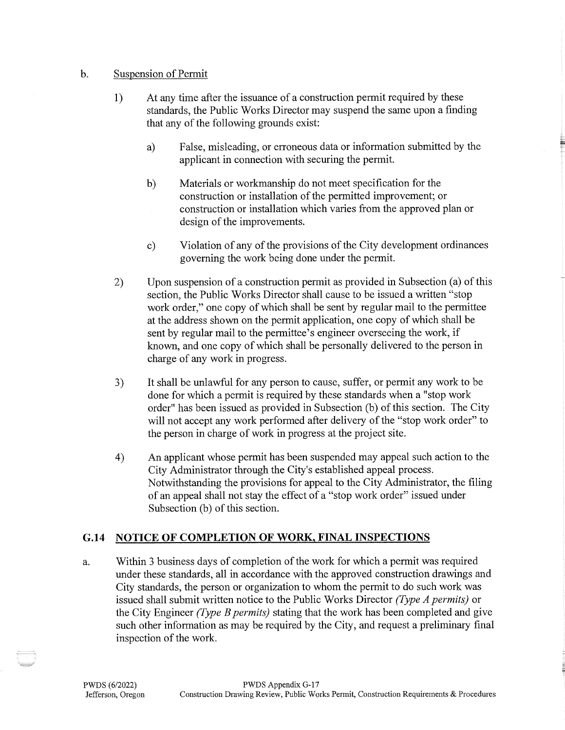### b. Suspension of Permit

- 1) At any time after the issuance of a construction permit required by these standards, the Public Works Director may suspend the same upon a finding that any of the following grounds exist:
	- a) False, misleading, or erroneous data or information submitted by the applicant in connection with securing the permit.
	- b) Materials or workmanship do not meet specification for the construction or installation of the permitted improvement; or construction or installation which varies from the approved plan or design of the improvements.
	- c) Violation of any of the provisions of the City development ordinances governing the work being done under the permit.
- 2) Upon suspension of a construction permit as provided in Subsection (a) of this section, the Public Works Director shall cause to be issued a written "stop work order," one copy of which shall be sent by regular mail to the permittee at the address shown on the permit application, one copy of which shall be sent by regular mail to the permittee's engineer overseeing the work, if known, and one copy of which shall be personally delivered to the person in charge of any work in progress.
- 3) It shall be unlawful for any person to cause, suffer, or permit any work to be done for which a permit is required by these standards when a "stop work order" has been issued as provided in Subsection (b) of this section. The City will not accept any work performed after delivery of the "stop work order" to the person in charge of work in progress at the project site.
- 4) An applicant whose permit has been suspended may appeal such action to the City Administrator through the City's established appeal process. Notwithstanding the provisions for appeal to the City Administrator, the filing of an appeal shall not stay the effect of a "stop work order" issued under Subsection (b) of this section.

## **G.14 NOTICE OF COMPLETION OF WORK, FINAL INSPECTIONS**

a. Within 3 business days of completion of the work for which a permit was required under these standards, all in accordance with the approved construction drawings and City standards, the person or organization to whom the permit to do such work was issued shall submit written notice to the Public Works Director *(Type A permits)* or the City Engineer *(Type B permits)* stating that the work has been completed and give such other information as may be required by the City, and request a preliminary final inspection of the work.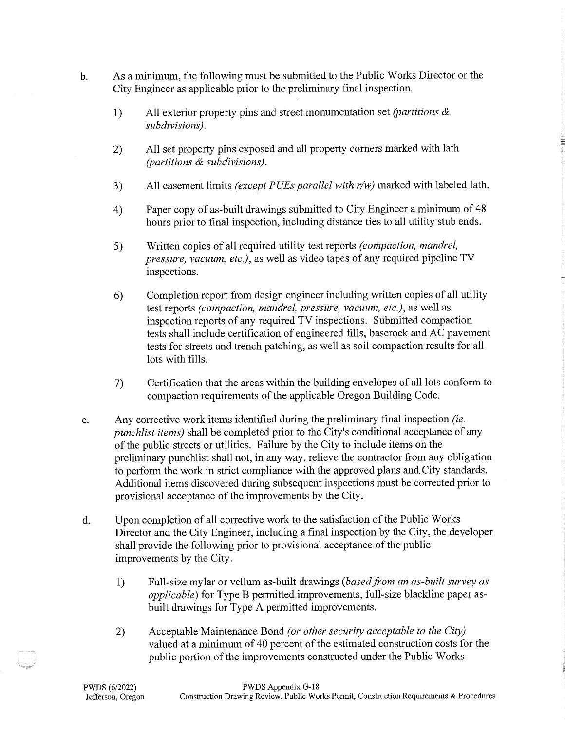- b. As a minimum, the following must be submitted to the Public Works Director or the City Engineer as applicable prior to the preliminary final inspection.
	- 1) All exterior property pins and street monumentation set *(partitions* & *subdivisions).*
	- 2) All set property pins exposed and all property corners marked with lath *(partitions* & *subdivisions).*
	- 3) All easement limits *(except PUEs parallel with r/w)* marked with labeled lath.
	- 4) Paper copy of as-built drawings submitted to City Engineer a minimum of <sup>48</sup> hours prior to final inspection, including distance ties to all utility stub ends.
	- 5) Written copies of all required utility test reports *(compaction, mandrel, pressure, vacuum, etc.),* as well as video tapes of any required pipeline TV inspections.
	- 6) Completion report from design engineer including written copies of all utility test reports *(compaction, mandrel, pressure, vacuum, etc.),* as well as inspection reports of any required TV inspections. Submitted compaction tests shall include certification of engineered fills, baserock and AC pavement tests for streets and trench patching, as well as soil compaction results for all lots with fills.
	- 7) Certification that the areas within the building envelopes of all lots conform to compaction requirements of the applicable Oregon Building Code.
- c. Any corrective work items identified during the preliminary final inspection *(ie. punchlist items)* shall be completed prior to the City's conditional acceptance of any of the public streets or utilities. Failure by the City to include items on the preliminary punchlist shall not, in any way, relieve the contractor from any obligation to perform the work in strict compliance with the approved plans and. City standards. Additional items discovered during subsequent inspections must be corrected prior to provisional acceptance of the improvements by the City.
- d. Upon completion of all corrective work to the satisfaction of the Public Works Director and the City Engineer, including a final inspection by the City, the developer shall provide the following prior to provisional acceptance of the public improvements by the City.
	- 1) Full-size mylar or vellum as-built drawings *(based from an as-built survey as applicable)* for Type B permitted improvements, full-size blackline paper asbuilt drawings for Type A permitted improvements.
	- 2) Acceptable Maintenance Bond *(or other security acceptable to the City)*  valued at a minimum of 40 percent of the estimated construction costs for the public portion of the improvements constructed under the Public Works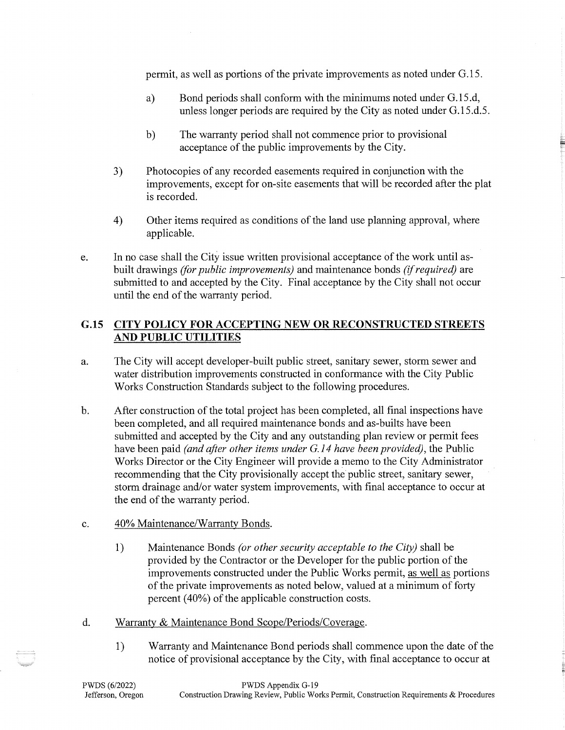permit, as well as portions of the private improvements as noted under G.15.

- a) Bond periods shall conform with the minimums noted under G.15.d, unless longer periods are required by the City as noted under G.15.d.5.
- b) The warranty period shall not commence prior to provisional acceptance of the public improvements by the City.
- 3) Photocopies of any recorded easements required in conjunction with the improvements, except for on-site easements that will be recorded after the plat is recorded.
- 4) Other items required as conditions of the land use planning approval, where applicable.
- e. In no case shall the City issue written provisional acceptance of the work until asbuilt drawings *(for public improvements)* and maintenance bonds *(if required)* are submitted to and accepted by the City. Final acceptance by the City shall not occur until the end of the warranty period.

## **G.15 CITY POLICY FOR ACCEPTING NEW OR RECONSTRUCTED STREETS AND PUBLIC UTILITIES**

- a. The City will accept developer-built public street, sanitary sewer, storm sewer and water distribution improvements constructed in conformance with the City Public Works Construction Standards subject to the following procedures.
- b. After construction of the total project has been completed, all final inspections have been completed, and all required maintenance bonds and as-builts have been submitted and accepted by the City and any outstanding plan review or permit fees have been paid *(and after other items under G.14 have been provided),* the Public Works Director or the City Engineer will provide a memo to the City Administrator recommending that the City provisionally accept the public street, sanitary sewer, storm drainage and/or water system improvements, with final acceptance to occur at the end of the warranty period.
- c. 40% Maintenance/Warranty Bonds.
	- 1) Maintenance Bonds *(or other security acceptable to the City)* shall be provided by the Contractor or the Developer for the public portion of the improvements constructed under the Public Works permit, as well as portions of the private improvements as noted below, valued at a minimum of forty percent (40%) of the applicable construction costs.
- d. Warranty & Maintenance Bond Scope/Periods/Coverage.
	- 1) Warranty and Maintenance Bond periods shall commence upon the date of the notice of provisional acceptance by the City, with final acceptance to occur at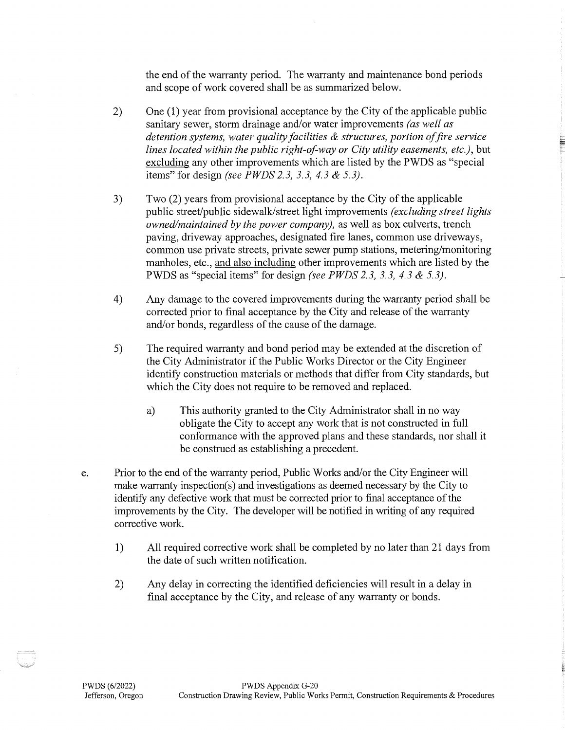the end of the warranty period. The warranty and maintenance bond periods and scope of work covered shall be as summarized below.

- 2) One (1) year from provisional acceptance by the City of the applicable public sanitary sewer, storm drainage and/or water improvements *(as well as detention systems, water quality facilities* & *structures, portion of fire service lines located within the public right-of-way or City utility easements, etc.),* but excluding any other improvements which are listed by the PWDS as "special items" for design *(see PWDS 2.3, 3.3, 4.3* & *5.3).*
- 3) Two (2) years from provisional acceptance by the City of the applicable public street/public sidewalk/street light improvements *(excluding street lights owned/maintained by the power company),* as well as box culverts, trench paving, driveway approaches, designated fire lanes, common use driveways, common use private streets, private sewer pump stations, metering/monitoring manholes, etc., and also including other improvements which are listed by the PWDS as "special items" for design *(see PWDS 2.3, 3.3, 4.3* & *5.3).*
- 4) Any damage to the covered improvements during the warranty period shall be corrected prior to final acceptance by the City and release of the warranty and/or bonds, regardless of the cause of the damage.
- 5) The required warranty and bond period may be extended at the discretion of the City Administrator if the Public Works Director or the City Engineer identify construction materials or methods that differ from City standards, but which the City does not require to be removed and replaced.
	- a) This authority granted to the City Administrator shall in no way obligate the City to accept any work that is not constructed in full conformance with the approved plans and these standards, nor shall it be construed as establishing a precedent.
- e. Prior to the end of the warranty period, Public Works and/or the City Engineer will make warranty inspection(s) and investigations as deemed necessary by the City to identify any defective work that must be corrected prior to final acceptance of the improvements by the City. The developer will be notified in writing of any required corrective work.
	- 1) All required corrective work shall be completed by no later than 21 days from the date of such written notification.
	- 2) Any delay in correcting the identified deficiencies will result in a delay in final acceptance by the City, and release of any warranty or bonds.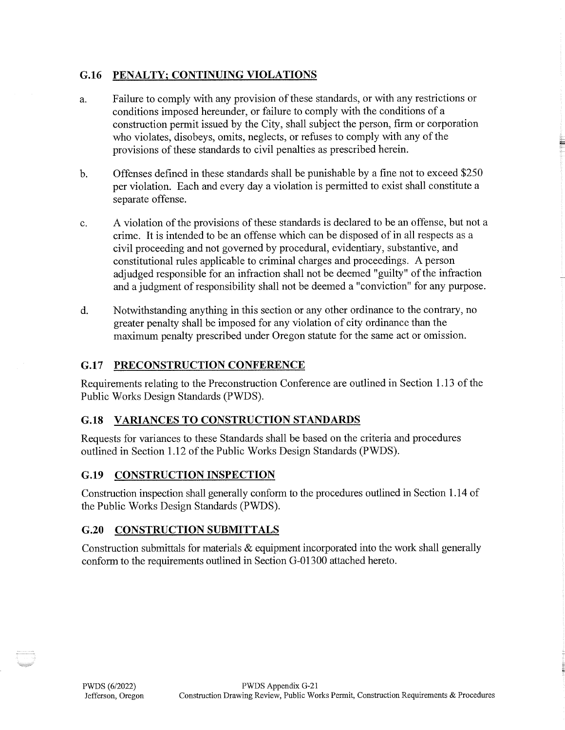## **G.16 PENALTY; CONTINUING VIOLATIONS**

- a. Failure to comply with any provision of these standards, or with any restrictions or conditions imposed hereunder, or failure to comply with the conditions of <sup>a</sup> construction permit issued by the City, shall subject the person, firm or corporation who violates, disobeys, omits, neglects, or refuses to comply with any of the provisions of these standards to civil penalties as prescribed herein.
- b. Offenses defined in these standards shall be punishable by a fine not to exceed \$250 per violation. Each and every day a violation is permitted to exist shall constitute a separate offense.
- c. A violation of the provisions of these standards is declared to be an offense, but not a crime. It is intended to be an offense which can be disposed of in all respects as a civil proceeding and not governed by procedural, evidentiary, substantive, and constitutional rules applicable to criminal charges and proceedings. A person adjudged responsible for an infraction shall not be deemed "guilty" of the infraction and a judgment of responsibility shall not be deemed a "conviction" for any purpose.
- d. Notwithstanding anything in this section or any other ordinance to the contrary, no greater penalty shall be imposed for any violation of city ordinance than the maximum penalty prescribed under Oregon statute for the same act or omission.

## **G.17 PRECONSTRUCTION CONFERENCE**

Requirements relating to the Preconstruction Conference are outlined in Section 1.13 of the Public Works Design Standards (PWDS).

## **G.18 VARIANCES TO CONSTRUCTION STANDARDS**

Requests for variances to these Standards shall be based on the criteria and procedures outlined in Section 1.12 of the Public Works Design Standards (PWDS).

## **G.19 CONSTRUCTION INSPECTION**

Construction inspection shall generally conform to the procedures outlined in Section 1.14 of the Public Works Design Standards (PWDS).

## **G.20 CONSTRUCTION SUBMITTALS**

Construction submittals for materials  $\&$  equipment incorporated into the work shall generally conform to the requirements outlined in Section G-01300 attached hereto.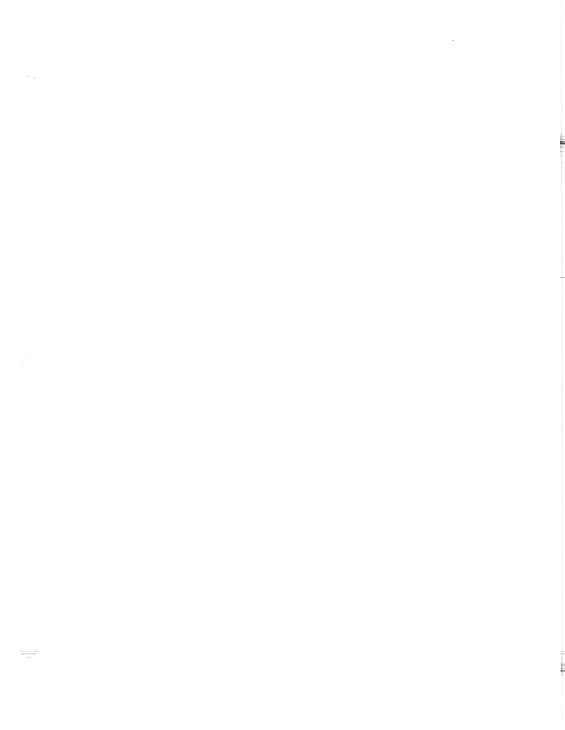$\label{eq:1} \mathcal{L}^{(m)}(0) = \frac{1}{2} \sum_{i=1}^m \mathcal{L}^{(m)}(0) \mathcal{L}^{(m)}(0)$ 

 $\label{eq:2.1} \frac{1}{\sqrt{2}}\int_{\mathbb{R}^3}\frac{1}{\sqrt{2}}\left(\frac{1}{\sqrt{2}}\right)^2\frac{1}{\sqrt{2}}\left(\frac{1}{\sqrt{2}}\right)^2\frac{1}{\sqrt{2}}\left(\frac{1}{\sqrt{2}}\right)^2\frac{1}{\sqrt{2}}\left(\frac{1}{\sqrt{2}}\right)^2.$ 

**The Controller**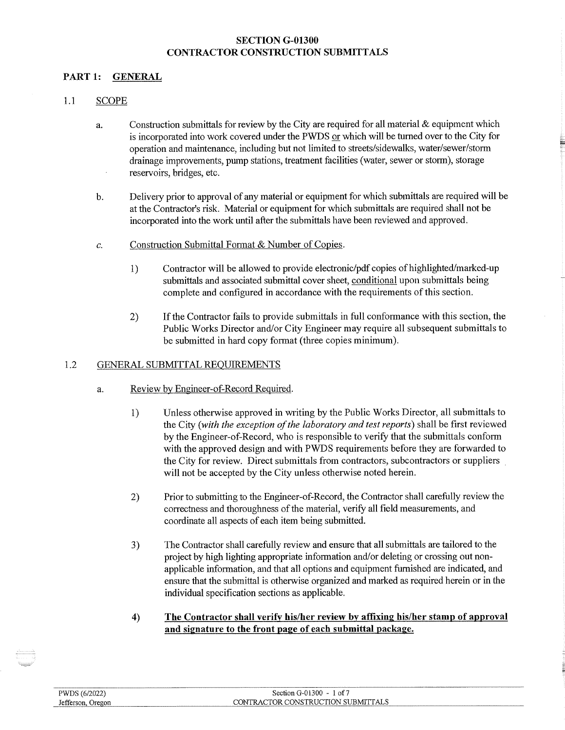### **SECTION G-01300 CONTRACTOR CONSTRUCTION SUBMITTALS**

#### **PARTl: GENERAL**

#### 1.1 SCOPE

- a. Construction submittals for review by the City are required for all material  $\&$  equipment which is incorporated into work covered under the PWDS or which will be turned over to the City for operation and maintenance, including but not limited to streets/sidewalks, water/sewer/storm drainage improvements, pump stations, treatment facilities (water, sewer or storm), storage reservoirs, bridges, etc.
- b. Delivery prior to approval of any material or equipment for which submittals are required will be at the Contractor's risk. Material or equipment for which submittals are required shall not be incorporated into the work until after the submittals have been reviewed and approved.
- $c.$  Construction Submittal Format & Number of Copies.
	- 1) Contractor will be allowed to provide electronic/pdf copies of highlighted/marked-up submittals and associated submittal cover sheet, conditional upon submittals being complete and configured in accordance with the requirements of this section.
	- 2) If the Contractor fails to provide submittals in full conformance with this section, the Public Works Director and/or City Engineer may require all subsequent submittals to be submitted in hard copy format (three copies minimum).

#### 1.2 GENERAL SUBMITTAL REQUIREMENTS

- a. Review by Engineer-of-Record Required.
	- 1) Unless otherwise approved in writing by the Public Works Director, all submittals to the City *(with the exception of the laboratory and test reports)* shall be first reviewed by the Engineer-of-Record, who is responsible to verify that the submittals conform with the approved design and with PWDS requirements before they are forwarded to the City for review. Direct submittals from contractors, subcontractors or suppliers will not be accepted by the City unless otherwise noted herein.
	- 2) Prior to submitting to the Engineer-of-Record, the Contractor shall carefully review the correctness and thoroughness of the material, verify all field measurements, and coordinate all aspects of each item being submitted.
	- 3) The Contractor shall carefully review and ensure that all submittals are tailored to the project by high lighting appropriate information and/or deleting or crossing out nonapplicable information, and that all options and equipment furnished are indicated, and ensure that the submittal is otherwise organized and marked as required herein or in the individual specification sections as applicable.
	- **4) The Contractor shall verify his/her review by affixing his/her stamp of approval and signature to the front page of each submittal package.**

|                   | Section G-01300 - 1 of 7           |
|-------------------|------------------------------------|
| PWDS (6/2022)     |                                    |
| Jefferson, Oregon | CONTRACTOR CONSTRUCTION SUBMITTALS |
|                   |                                    |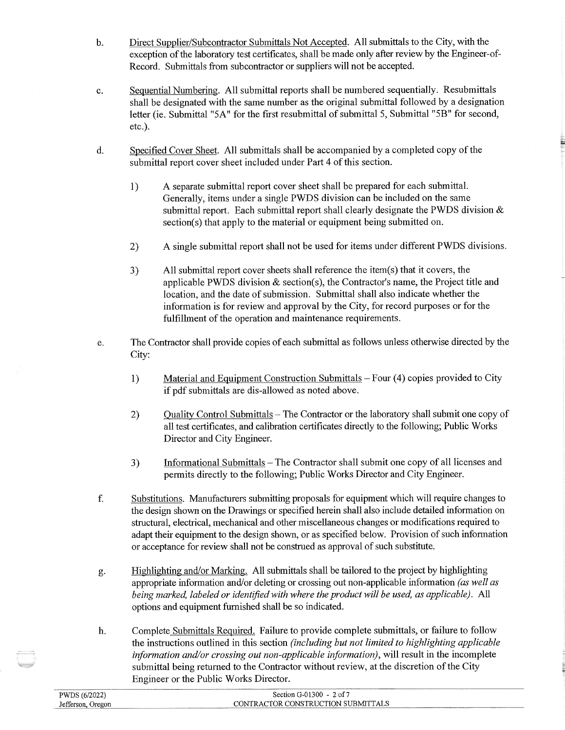- b. Direct Supplier/Subcontractor Submittals Not Accepted. All submittals to the City, with the exception of the laboratory test certificates, shall be made only after review by the Engineer-of-Record. Submittals from subcontractor or suppliers will not be accepted.
- c. Sequential Numbering. All submittal reports shall be numbered sequentially. Resubmittals shall be designated with the same number as the original submittal followed by a designation letter (ie. Submittal "5A" for the first resubmittal of submittal 5, Submittal "5B" for second, etc.).
- d. Specified Cover Sheet. All submittals shall be accompanied by a completed copy of the submittal report cover sheet included under Part 4 of this section.
	- 1) A separate submittal report cover sheet shall be prepared for each submittal. Generally, items under a single PWDS division can be included on the same submittal report. Each submittal report shall clearly designate the PWDS division & section(s) that apply to the material or equipment being submitted on.
	- 2) A single submittal report shall not be used for items under different PWDS divisions.
	- 3) All submittal report cover sheets shall reference the item(s) that it covers, the applicable PWDS division & section(s), the Contractor's name, the Project title and location, and the date of submission. Submittal shall also indicate whether the information is for review and approval by the City, for record purposes or for the fulfillment of the operation and maintenance requirements.
- e. The Contractor shall provide copies of each submittal as follows unless otherwise directed by the City:
	- 1) Material and Equipment Construction Submittals Four (4) copies provided to City if pdf submittals are dis-allowed as noted above.
	- 2) Quality Control Submittals The Contractor or the laboratory shall submit one copy of all test certificates, and calibration certificates directly to the following; Public Works Director and City Engineer.
	- 3) Informational Submittals The Contractor shall submit one copy of all licenses and permits directly to the following; Public Works Director and City Engineer.
- f. Substitutions. Manufacturers submitting proposals for equipment which will require changes to the design shown on the Drawings or specified herein shall also include detailed information on structural, electrical, mechanical and other miscellaneous changes or modifications required to adapt their equipment to the design shown, or as specified below. Provision of such infonnation or acceptance for review shall not be construed as approval of such substitute.
- g. Highlighting and/or Marking. All submittals shall be tailored to the project by highlighting appropriate information and/or deleting or crossing out non-applicable information *(as well as being mm·ked, labeled or identified with where the product will be used, as applicable).* All options and equipment furnished shall be so indicated.
- h. Complete Submittals Required. Failure to provide complete submittals, or failure to follow the instructions outlined in this section *(including but not limited to highlighting applicable information and/or crossing out non-applicable information),* will result in the incomplete submittal being returned to the Contractor without review, at the discretion of the City Engineer or the Public Works Director.

| PWDS (6/2022)     | Section G-01300 - 2 of 7           |
|-------------------|------------------------------------|
| Jefferson, Oregon | CONTRACTOR CONSTRUCTION SUBMITTALS |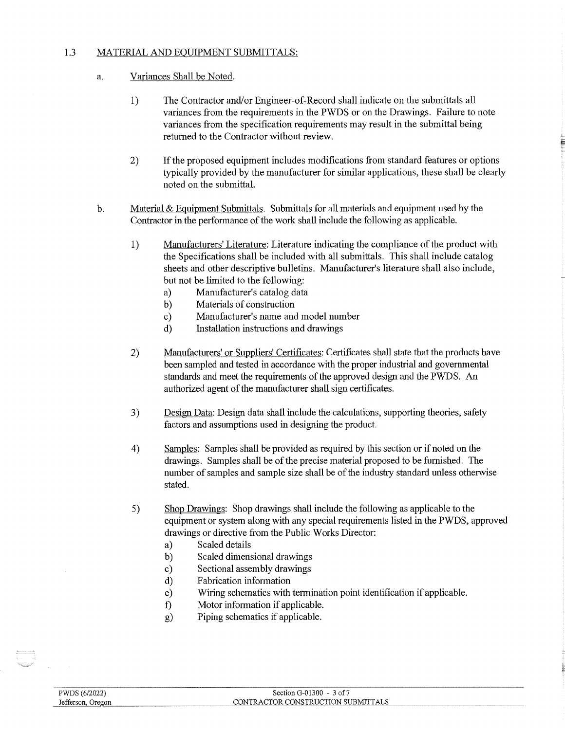#### 1.3 MATERIAL AND EQUIPMENT SUBMITTALS:

#### a. Variances Shall be Noted.

- 1) The Contractor and/or Engineer-of-Record shall indicate on the submittals all variances from the requirements in the PWDS or on the Drawings. Failure to note variances from the specification requirements may result in the submittal being returned to the Contractor without review.
- 2) If the proposed equipment includes modifications from standard features or options typically provided by the manufacturer for similar applications, these shall be clearly noted on the submittal.
- b. Material & Equipment Submittals. Submittals for all materials and equipment used by the Contractor in the perfonnance of the work shall include the following as applicable.
	- 1) Manufacturers' Literature: Literature indicating the compliance of the product with the Specifications shall be included with all submittals. This shall include catalog sheets and other descriptive bulletins. Manufacturer's literature shall also include, but not be limited to the following:
		- a) Manufacturer's catalog data
		- b) Materials of construction
		- c) Manufacturer's name and model number
		- d) Installation instructions and drawings
	- 2) Manufacturers' or Suppliers' Certificates: Certificates shall state that the products have been sampled and tested in accordance with the proper industrial and governmental standards and meet the requirements of the approved design and the PWDS. An authorized agent of the manufacturer shall sign certificates.
	- 3) Design Data: Design data shall include the calculations, supporting theories, safety factors and assumptions used in designing the product.
	- 4) Samples: Samples shall be provided as required by this section or if noted on the drawings. Samples shall be of the precise material proposed to be furnished. The number of samples and sample size shall be of the industry standard unless otherwise stated.
	- 5) Shop Drawings: Shop drawings shall include the following as applicable to the equipment or system along with any special requirements listed in the PWDS, approved drawings or directive from the Public Works Director:
		- a) Scaled details
		- b) Scaled dimensional drawings
		- c) Sectional assembly drawings
		- d) Fabrication infonnation
		- e) Wiring schematics with termination point identification if applicable.
		- f) Motor information if applicable.
		- g) Piping schematics if applicable.

| $\sim$ $\sim$ $\sim$ $\sim$ | 3 of                                                   |
|-----------------------------|--------------------------------------------------------|
| PWDS $(6)$                  | Section                                                |
| u sa sa sa                  | G-01300                                                |
| Jefferson<br>Jregon         | <b>TOR CONSTRUCTION SUBMITTAL.</b><br>`AL S<br>CONTRAG |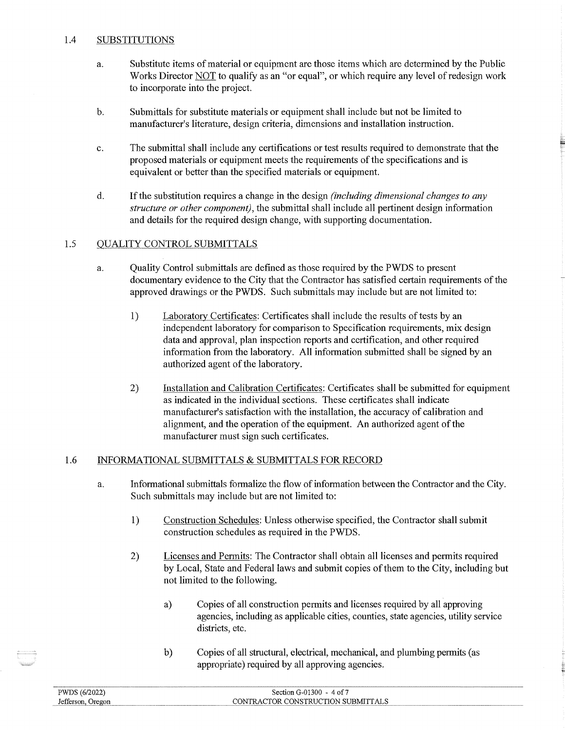### 1.4 SUBSTITUTIONS

- a. Substitute items of material or equipment are those items which are determined by the Public Works Director NOT to qualify as an "or equal", or which require any level of redesign work to incorporate into the project.
- b. Submittals for substitute materials or equipment shall include but not be limited to manufacturer's literature, design criteria, dimensions and installation instruction.
- c. The submittal shall include any certifications or test results required to demonstrate that the proposed materials or equipment meets the requirements of the specifications and is equivalent or better than the specified materials or equipment.
- d. If the substitution requires a change in the design *(including dimensional changes to any structure or other component),* the submittal shall include all pertinent design information and details for the required design change, with supporting documentation.

## 1.5 QUALITY CONTROL SUBMITTALS

- a. Quality Control submittals are defined as those required by the PWDS to present documentary evidence to the City that the Contractor has satisfied certain requirements of the approved drawings or the PWDS. Such submittals may include but are not limited to:
	- 1) Laboratory Certificates: Certificates shall include the results of tests by an independent laboratory for comparison to Specification requirements, mix design data and approval, plan inspection reports and certification, and other required information from the laboratory. All information submitted shall be signed by an authorized agent of the laboratory.
	- 2) Installation and Calibration Certificates: Certificates shall be submitted for equipment as indicated in the individual sections. These certificates shall indicate manufacturer's satisfaction with the installation, the accuracy of calibration and alignment, and the operation of the equipment. An authorized agent of the manufacturer must sign such certificates.

## 1.6 INFORMATIONAL SUBMlTTALS & SUBMlTTALS FOR RECORD

- a. Informational submittals formalize the flow of information between the Contractor and the City. Such submittals may include but are not limited to:
	- 1) Construction Schedules: Unless otherwise specified, the Contractor shall submit construction schedules as required in the PWDS.
	- 2) Licenses and Pennits: The Contractor shall obtain all licenses and permits required by Local, State and Federal laws and submit copies of them to the City, including but not limited to the following.
		- a) Copies of all construction permits and licenses required by all approving agencies, including as applicable cities, counties, state agencies, utility service districts, etc.
		- b) Copies of all structural, electrical, mechanical, and plumbing permits (as appropriate) required by all approving agencies.

| $\overline{\phantom{a}}$<br>DVA | . of $\tilde{\phantom{a}}$<br>-м. |
|---------------------------------|-----------------------------------|
| "egon<br>________               | 16<br>Ж<br>. INF                  |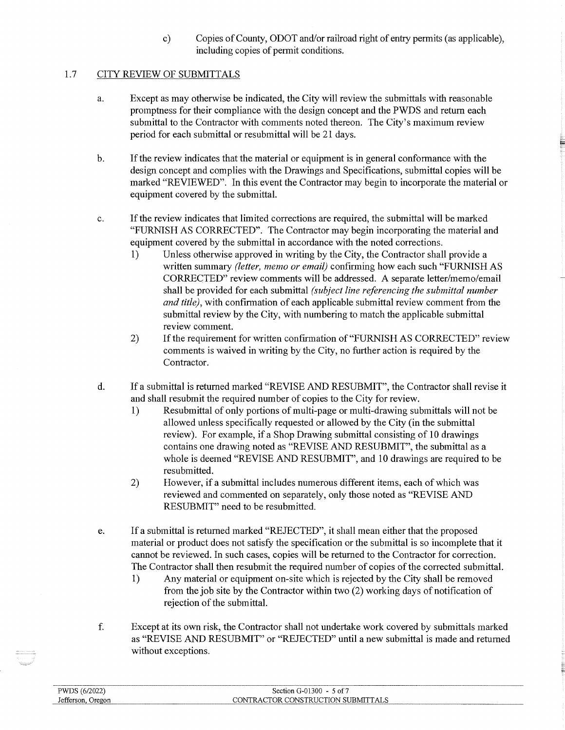c) Copies of County, ODOT and/or railroad right of entry permits (as applicable), including copies of pennit conditions.

### 1.7 CITY REVIEW OF SUBMITTALS

- a. Except as may otherwise be indicated, the City will review the submittals with reasonable promptness for their compliance with the design concept and the PWDS and return each submittal to the Contractor with comments noted thereon. The City's maximum review period for each submittal or resubmittal will be 21 days.
- b. If the review indicates that the material or equipment is in general conformance with the design concept and complies with the Drawings and Specifications, submittal copies will be marked "REVIEWED". In this event the Contractor may begin to incorporate the material or equipment covered by the submittal.
- c. If the review indicates that limited corrections are required, the submittal will be marked "FURNISH AS CORRECTED". The Contractor may begin incorporating the material and equipment covered by the submittal in accordance with the noted corrections.
	- 1) Unless otherwise approved in writing by the City, the Contractor shall provide a written summary *(letter, memo or email)* confirming how each such "FURNISH AS CORRECTED" review comments will be addressed. A separate letter/memo/email shall be provided for each submittal *(subject line referencing the submittal number and title)*, with confirmation of each applicable submittal review comment from the submittal review by the City, with numbering to match the applicable submittal review comment.
	- 2) If the requirement for written confirmation of "FURNISH AS CORRECTED" review comments is waived in writing by the City, no further action is required by the Contractor.
- d. If a submittal is returned marked "REVISE AND RESUBMIT", the Contractor shall revise it and shall resubmit the required number of copies to the City for review.
	- 1) Resubmittal of only portions of multi-page or multi-drawing submittals will not be allowed unless specifically requested or allowed by the City (in the submittal review). For example, if a Shop Drawing submittal consisting of 10 drawings contains one drawing noted as "REVISE AND RESUBMIT", the submittal as a whole is deemed "REVISE AND RESUBMIT", and 10 drawings are required to be resubmitted.
	- 2) However, if a submittal includes numerous different items, each of which was reviewed and commented on separately, only those noted as "REVISE AND RESUBMIT" need to be resubmitted.
- e. If a submittal is returned marked "REJECTED", it shall mean either that the proposed material or product does not satisfy the specification or the submittal is so incomplete that it cannot be reviewed. In such cases, copies will be returned to the Contractor for correction. The Contractor shall then resubmit the required number of copies of the corrected submittal.
	- 1) Any material or equipment on-site which is rejected by the City shall be removed from the job site by the Contractor within two (2) working days of notification of rejection of the submittal.
- f. Except at its own risk, the Contractor shall not undertake work covered by submittals marked as "REVISE AND RESUBMIT" or "REJECTED" until a new submittal is made and returned without exceptions.

| PWDS (6/2022)     | Section G-01300 - 5 of 7           |
|-------------------|------------------------------------|
| Jefferson, Oregon | CONTRACTOR CONSTRUCTION SUBMITTALS |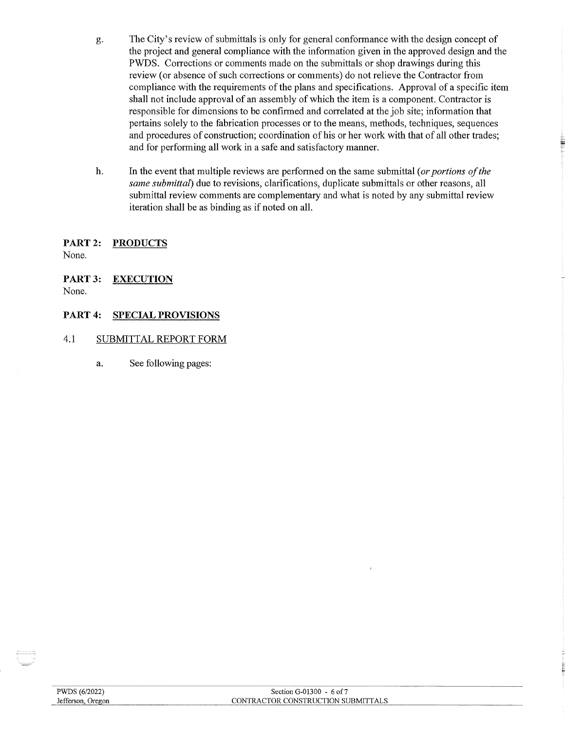- g. The City's review of submittals is only for general conformance with the design concept of the project and general compliance with the information given in the approved design and the PWDS. Corrections or comments made on the submittals or shop drawings during this review (or absence of such corrections or comments) do not relieve the Contractor from compliance with the requirements of the plans and specifications. Approval of a specific item shall not include approval of an assembly of which the item is a component. Contractor is responsible for dimensions to be confirmed and correlated at the job site; information that pertains solely to the fabrication processes or to the means, methods, techniques, sequences and procedures of construction; coordination of his or her work with that of all other trades; and for performing all work in a safe and satisfactory manner.
- h. In the event that multiple reviews are perfonned on the same submittal *(or portions of the same submittal*) due to revisions, clarifications, duplicate submittals or other reasons, all submittal review comments are complementary and what is noted by any submittal review iteration shall be as binding as if noted on all.

PART 2: PRODUCTS

None.

PART 3: EXECUTION None.

#### PART 4: SPECIAL PROVISIONS

#### 4.1 SUBMITTAL REPORT FORM

a. See following pages:

| PWDS (6/2022)     | Section G-01300 - 6 of 7           |
|-------------------|------------------------------------|
| Jefferson, Oregon | CONTRACTOR CONSTRUCTION SUBMITTALS |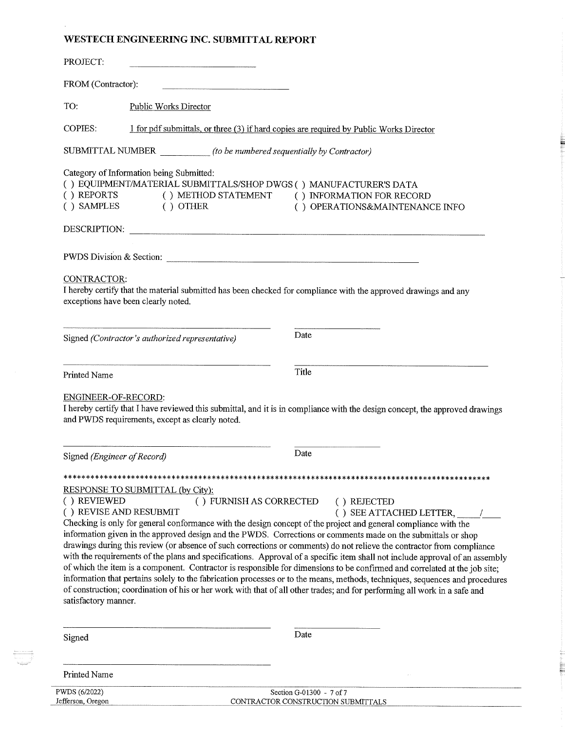# **WESTECH ENGINEERING** INC. **SUBMITTAL REPORT**

| PROJECT:                                      |                                                                                                                                                                                      |                                                                                                                                                                                                                                                                                                                                                                                                                                                                                                                                                                                                                                                                                                                                                                                                                                                                                                                                                              |
|-----------------------------------------------|--------------------------------------------------------------------------------------------------------------------------------------------------------------------------------------|--------------------------------------------------------------------------------------------------------------------------------------------------------------------------------------------------------------------------------------------------------------------------------------------------------------------------------------------------------------------------------------------------------------------------------------------------------------------------------------------------------------------------------------------------------------------------------------------------------------------------------------------------------------------------------------------------------------------------------------------------------------------------------------------------------------------------------------------------------------------------------------------------------------------------------------------------------------|
| FROM (Contractor):                            |                                                                                                                                                                                      |                                                                                                                                                                                                                                                                                                                                                                                                                                                                                                                                                                                                                                                                                                                                                                                                                                                                                                                                                              |
| TO:                                           | <b>Public Works Director</b>                                                                                                                                                         |                                                                                                                                                                                                                                                                                                                                                                                                                                                                                                                                                                                                                                                                                                                                                                                                                                                                                                                                                              |
| COPIES:                                       | 1 for pdf submittals, or three (3) if hard copies are required by Public Works Director                                                                                              |                                                                                                                                                                                                                                                                                                                                                                                                                                                                                                                                                                                                                                                                                                                                                                                                                                                                                                                                                              |
|                                               | SUBMITTAL NUMBER ___________(to be numbered sequentially by Contractor)                                                                                                              |                                                                                                                                                                                                                                                                                                                                                                                                                                                                                                                                                                                                                                                                                                                                                                                                                                                                                                                                                              |
| () SAMPLES                                    | Category of Information being Submitted:<br>() EQUIPMENT/MATERIAL SUBMITTALS/SHOP DWGS() MANUFACTURER'S DATA<br>() REPORTS () METHOD STATEMENT () INFORMATION FOR RECORD<br>() OTHER | () OPERATIONS&MAINTENANCE INFO                                                                                                                                                                                                                                                                                                                                                                                                                                                                                                                                                                                                                                                                                                                                                                                                                                                                                                                               |
|                                               |                                                                                                                                                                                      |                                                                                                                                                                                                                                                                                                                                                                                                                                                                                                                                                                                                                                                                                                                                                                                                                                                                                                                                                              |
|                                               | PWDS Division & Section:                                                                                                                                                             |                                                                                                                                                                                                                                                                                                                                                                                                                                                                                                                                                                                                                                                                                                                                                                                                                                                                                                                                                              |
| CONTRACTOR:                                   | exceptions have been clearly noted.                                                                                                                                                  | I hereby certify that the material submitted has been checked for compliance with the approved drawings and any                                                                                                                                                                                                                                                                                                                                                                                                                                                                                                                                                                                                                                                                                                                                                                                                                                              |
|                                               | Signed (Contractor's authorized representative)                                                                                                                                      | Date                                                                                                                                                                                                                                                                                                                                                                                                                                                                                                                                                                                                                                                                                                                                                                                                                                                                                                                                                         |
| Printed Name                                  |                                                                                                                                                                                      | Title                                                                                                                                                                                                                                                                                                                                                                                                                                                                                                                                                                                                                                                                                                                                                                                                                                                                                                                                                        |
| ENGINEER-OF-RECORD:                           | and PWDS requirements, except as clearly noted.                                                                                                                                      | I hereby certify that I have reviewed this submittal, and it is in compliance with the design concept, the approved drawings                                                                                                                                                                                                                                                                                                                                                                                                                                                                                                                                                                                                                                                                                                                                                                                                                                 |
| Signed (Engineer of Record)                   |                                                                                                                                                                                      | Date                                                                                                                                                                                                                                                                                                                                                                                                                                                                                                                                                                                                                                                                                                                                                                                                                                                                                                                                                         |
| () REVIEWED<br>satisfactory manner.<br>Signed | <b>RESPONSE TO SUBMITTAL (by City):</b><br>( ) FURNISH AS CORRECTED<br>() REVISE AND RESUBMIT                                                                                        | () REJECTED<br>() SEE ATTACHED LETTER, $\frac{1}{\sqrt{2}}$<br>Checking is only for general conformance with the design concept of the project and general compliance with the<br>information given in the approved design and the PWDS. Corrections or comments made on the submittals or shop<br>drawings during this review (or absence of such corrections or comments) do not relieve the contractor from compliance<br>with the requirements of the plans and specifications. Approval of a specific item shall not include approval of an assembly<br>of which the item is a component. Contractor is responsible for dimensions to be confirmed and correlated at the job site;<br>information that pertains solely to the fabrication processes or to the means, methods, techniques, sequences and procedures<br>of construction; coordination of his or her work with that of all other trades; and for performing all work in a safe and<br>Date |
| Printed Name                                  |                                                                                                                                                                                      |                                                                                                                                                                                                                                                                                                                                                                                                                                                                                                                                                                                                                                                                                                                                                                                                                                                                                                                                                              |
| PWDS (6/2022)                                 |                                                                                                                                                                                      | Section G-01300 - 7 of 7                                                                                                                                                                                                                                                                                                                                                                                                                                                                                                                                                                                                                                                                                                                                                                                                                                                                                                                                     |
| Jefferson, Oregon                             |                                                                                                                                                                                      | CONTRACTOR CONSTRUCTION SUBMITTALS                                                                                                                                                                                                                                                                                                                                                                                                                                                                                                                                                                                                                                                                                                                                                                                                                                                                                                                           |